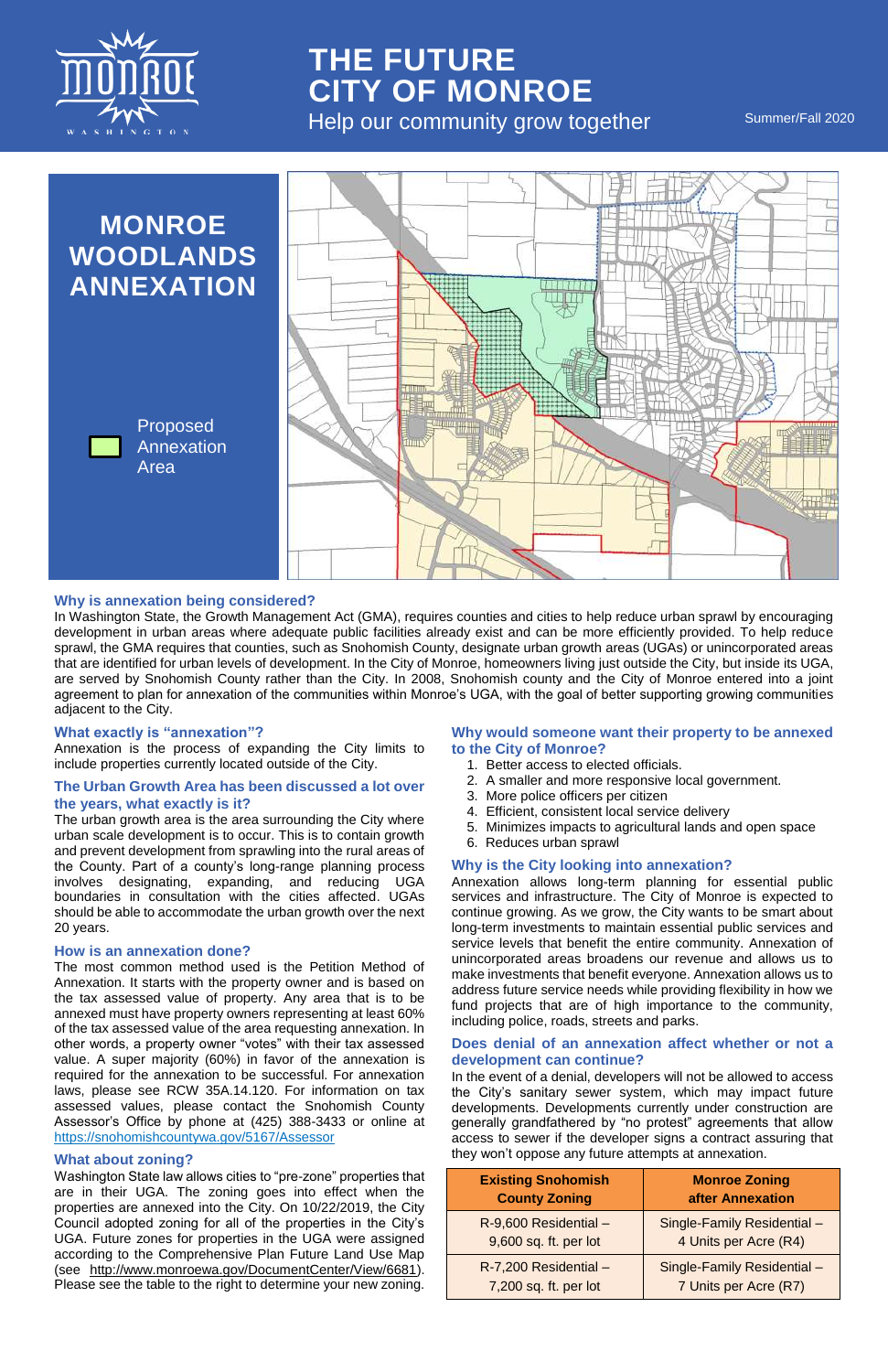# **Why is annexation being considered?**

In Washington State, the Growth Management Act (GMA), requires counties and cities to help reduce urban sprawl by encouraging development in urban areas where adequate public facilities already exist and can be more efficiently provided. To help reduce sprawl, the GMA requires that counties, such as Snohomish County, designate urban growth areas (UGAs) or unincorporated areas that are identified for urban levels of development. In the City of Monroe, homeowners living just outside the City, but inside its UGA, are served by Snohomish County rather than the City. In 2008, Snohomish county and the City of Monroe entered into a joint agreement to plan for annexation of the communities within Monroe's UGA, with the goal of better supporting growing communities adjacent to the City.

#### **What exactly is "annexation"?**

Annexation is the process of expanding the City limits to include properties currently located outside of the City.

# **The Urban Growth Area has been discussed a lot over the years, what exactly is it?**

The urban growth area is the area surrounding the City where urban scale development is to occur. This is to contain growth and prevent development from sprawling into the rural areas of the County. Part of a county's long-range planning process involves designating, expanding, and reducing UGA boundaries in consultation with the cities affected. UGAs should be able to accommodate the urban growth over the next 20 years.

#### **How is an annexation done?**

The most common method used is the Petition Method of Annexation. It starts with the property owner and is based on the tax assessed value of property. Any area that is to be

annexed must have property owners representing at least 60% of the tax assessed value of the area requesting annexation. In other words, a property owner "votes" with their tax assessed value. A super majority (60%) in favor of the annexation is required for the annexation to be successful. For annexation laws, please see RCW 35A.14.120. For information on tax assessed values, please contact the Snohomish County Assessor's Office by phone at (425) 388-3433 or online at <https://snohomishcountywa.gov/5167/Assessor>



# **THE FUTURE CITY OF MONROE** Help our community grow together Summer/Fall 2020

# **What about zoning?**

# **Why would someone want their property to be annexed to the City of Monroe?**

- 1. Better access to elected officials.
- 2. A smaller and more responsive local government.
- 3. More police officers per citizen
- 4. Efficient, consistent local service delivery
- 5. Minimizes impacts to agricultural lands and open space
- 6. Reduces urban sprawl

#### **Why is the City looking into annexation?**

Annexation allows long-term planning for essential public services and infrastructure. The City of Monroe is expected to continue growing. As we grow, the City wants to be smart about long-term investments to maintain essential public services and service levels that benefit the entire community. Annexation of unincorporated areas broadens our revenue and allows us to make investments that benefit everyone. Annexation allows us to address future service needs while providing flexibility in how we fund projects that are of high importance to the community,

including police, roads, streets and parks.

# **Does denial of an annexation affect whether or not a development can continue?**

In the event of a denial, developers will not be allowed to access the City's sanitary sewer system, which may impact future developments. Developments currently under construction are generally grandfathered by "no protest" agreements that allow access to sewer if the developer signs a contract assuring that they won't oppose any future attempts at annexation.

Washington State law allows cities to "pre-zone" properties that are in their UGA. The zoning goes into effect when the properties are annexed into the City. On 10/22/2019, the City Council adopted zoning for all of the properties in the City's UGA. Future zones for properties in the UGA were assigned according to the Comprehensive Plan Future Land Use Map (see [http://www.monroewa.gov/DocumentCenter/View/6681\)](http://www.monroewa.gov/DocumentCenter/View/6681). Please see the table to the right to determine your new zoning.

| <b>Existing Snohomish</b> | <b>Monroe Zoning</b>        |
|---------------------------|-----------------------------|
| <b>County Zoning</b>      | after Annexation            |
| $R-9,600$ Residential -   | Single-Family Residential - |
| 9,600 sq. ft. per lot     | 4 Units per Acre (R4)       |
| $R-7,200$ Residential -   | Single-Family Residential - |
| 7,200 sq. ft. per lot     | 7 Units per Acre (R7)       |